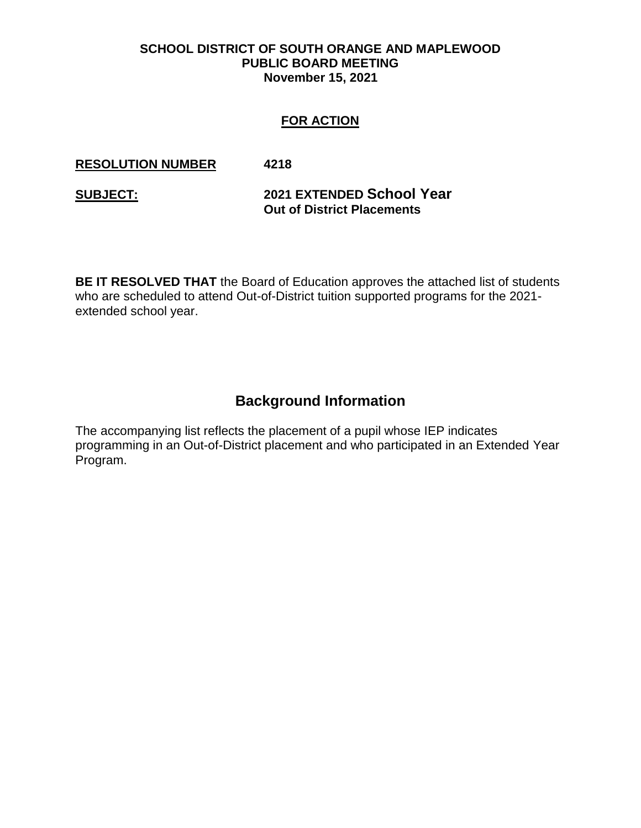#### **SCHOOL DISTRICT OF SOUTH ORANGE AND MAPLEWOOD PUBLIC BOARD MEETING November 15, 2021**

### **FOR ACTION**

#### **RESOLUTION NUMBER 4218**

### **SUBJECT: 2021 EXTENDED School Year Out of District Placements**

**BE IT RESOLVED THAT** the Board of Education approves the attached list of students who are scheduled to attend Out-of-District tuition supported programs for the 2021 extended school year.

# **Background Information**

The accompanying list reflects the placement of a pupil whose IEP indicates programming in an Out-of-District placement and who participated in an Extended Year Program.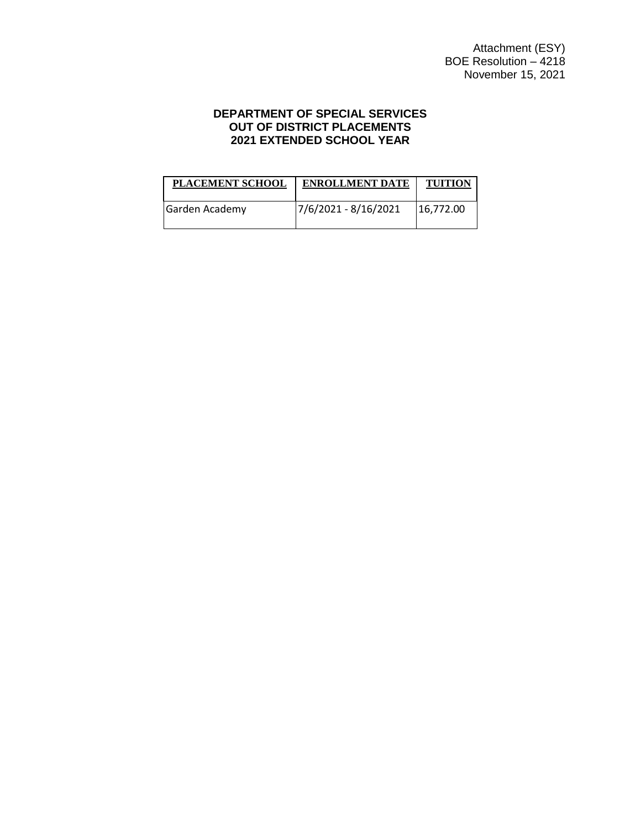#### **DEPARTMENT OF SPECIAL SERVICES OUT OF DISTRICT PLACEMENTS 2021 EXTENDED SCHOOL YEAR**

| <b>PLACEMENT SCHOOL</b> | <b>ENROLLMENT DATE</b> | <b>TUITION</b> |
|-------------------------|------------------------|----------------|
| Garden Academy          | 7/6/2021 - 8/16/2021   | 16,772.00      |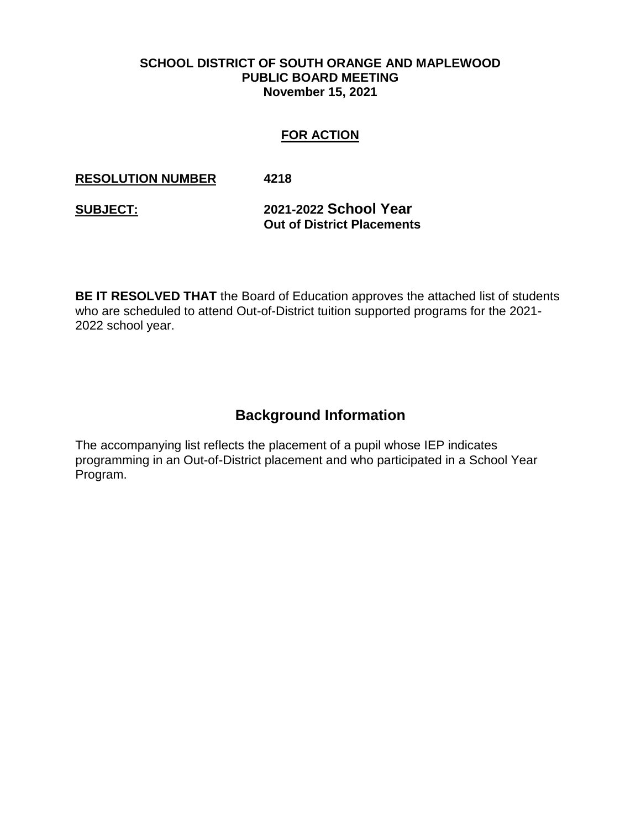#### **SCHOOL DISTRICT OF SOUTH ORANGE AND MAPLEWOOD PUBLIC BOARD MEETING November 15, 2021**

#### **FOR ACTION**

#### **RESOLUTION NUMBER 4218**

**SUBJECT: 2021-2022 School Year Out of District Placements** 

**BE IT RESOLVED THAT** the Board of Education approves the attached list of students who are scheduled to attend Out-of-District tuition supported programs for the 2021- 2022 school year.

## **Background Information**

The accompanying list reflects the placement of a pupil whose IEP indicates programming in an Out-of-District placement and who participated in a School Year Program.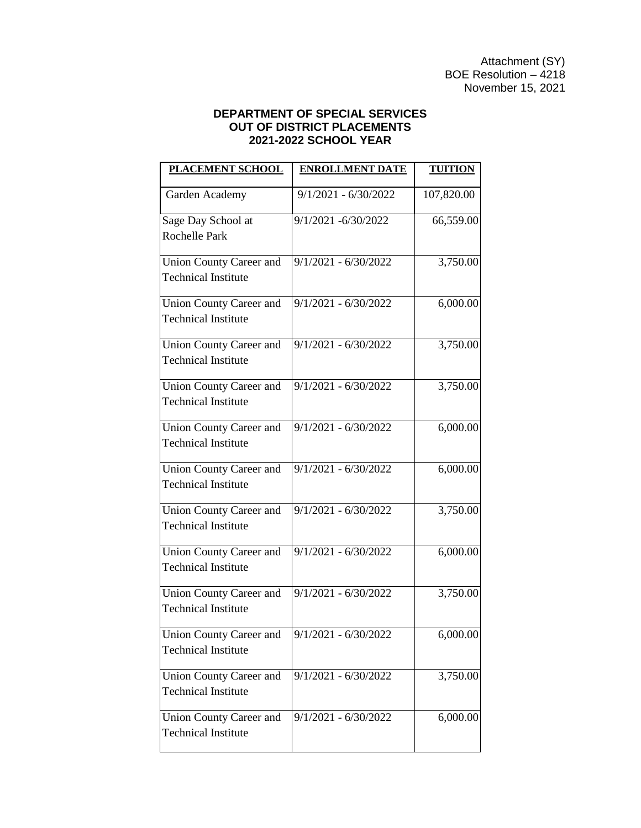Attachment (SY) BOE Resolution  $-$  4218 November 15, 2021

#### **DEPARTMENT OF SPECIAL SERVICES OUT OF DISTRICT PLACEMENTS 2021-2022 SCHOOL YEAR**

| <b>PLACEMENT SCHOOL</b>        | <b>ENROLLMENT DATE</b>          | <b>TUITION</b> |
|--------------------------------|---------------------------------|----------------|
| Garden Academy                 | $9/1/2021 - 6/30/2022$          | 107,820.00     |
| Sage Day School at             | 9/1/2021 -6/30/2022             | 66,559.00      |
| Rochelle Park                  |                                 |                |
| Union County Career and        | $9/1/2021 - 6/30/2022$          | 3,750.00       |
| <b>Technical Institute</b>     |                                 |                |
| Union County Career and        | $9/1/2021 - 6/30/2022$          | 6,000.00       |
| <b>Technical Institute</b>     |                                 |                |
| <b>Union County Career and</b> | $\frac{1}{91/2021}$ - 6/30/2022 | 3,750.00       |
| <b>Technical Institute</b>     |                                 |                |
| <b>Union County Career and</b> | $9/1/2021 - 6/30/2022$          | 3,750.00       |
| <b>Technical Institute</b>     |                                 |                |
| <b>Union County Career and</b> | $9/1/2021 - 6/30/2022$          | 6,000.00       |
| <b>Technical Institute</b>     |                                 |                |
| <b>Union County Career and</b> | $9/1/2021 - 6/30/2022$          | 6,000.00       |
| <b>Technical Institute</b>     |                                 |                |
| <b>Union County Career and</b> | $9/1/2021 - 6/30/2022$          | 3,750.00       |
| <b>Technical Institute</b>     |                                 |                |
| <b>Union County Career and</b> | $9/1/2021 - 6/30/2022$          | 6,000.00       |
| <b>Technical Institute</b>     |                                 |                |
| <b>Union County Career and</b> | $9/1/2021 - 6/30/2022$          | 3,750.00       |
| <b>Technical Institute</b>     |                                 |                |
| Union County Career and        | $9/1/2021 - 6/30/2022$          | 6,000.00       |
| <b>Technical Institute</b>     |                                 |                |
| <b>Union County Career and</b> | $9/1/2021 - 6/30/2022$          | 3,750.00       |
| <b>Technical Institute</b>     |                                 |                |
| Union County Career and        | $9/1/2021 - 6/30/2022$          | 6,000.00       |
| <b>Technical Institute</b>     |                                 |                |